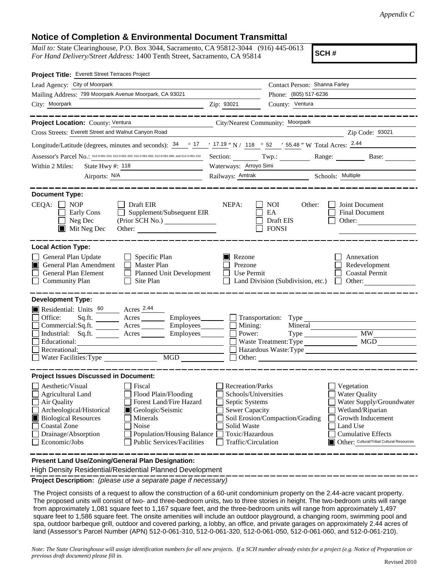## **Notice of Completion & Environmental Document Transmittal**

*Mail to:* State Clearinghouse, P.O. Box 3044, Sacramento, CA 95812-3044 (916) 445-0613 *For Hand Delivery/Street Address:* 1400 Tenth Street, Sacramento, CA 95814

**SCH #**

| Project Title: Everett Street Terraces Project                                                                                                                                                                                                                                                                                                          |                                                                                                                                              |                                                         |                                                                                                                                                                                               |  |  |  |  |
|---------------------------------------------------------------------------------------------------------------------------------------------------------------------------------------------------------------------------------------------------------------------------------------------------------------------------------------------------------|----------------------------------------------------------------------------------------------------------------------------------------------|---------------------------------------------------------|-----------------------------------------------------------------------------------------------------------------------------------------------------------------------------------------------|--|--|--|--|
| Lead Agency: City of Moorpark                                                                                                                                                                                                                                                                                                                           |                                                                                                                                              | Contact Person: Shanna Farley                           |                                                                                                                                                                                               |  |  |  |  |
| Mailing Address: 799 Moorpark Avenue Moorpark, CA 93021                                                                                                                                                                                                                                                                                                 |                                                                                                                                              | Phone: (805) 517-6236                                   |                                                                                                                                                                                               |  |  |  |  |
| City: Moorpark<br><u> 1989 - Johann Barbara, martin a</u>                                                                                                                                                                                                                                                                                               | County: Ventura<br>Zip: 93021                                                                                                                |                                                         |                                                                                                                                                                                               |  |  |  |  |
| Project Location: County: Ventura<br>City/Nearest Community: Moorpark                                                                                                                                                                                                                                                                                   |                                                                                                                                              |                                                         |                                                                                                                                                                                               |  |  |  |  |
| Cross Streets: Everett Street and Walnut Canyon Road                                                                                                                                                                                                                                                                                                    |                                                                                                                                              |                                                         | Zip Code: 93021                                                                                                                                                                               |  |  |  |  |
| Longitude/Latitude (degrees, minutes and seconds): $\frac{34}{17}$ $\frac{17.19}{17.19}$ N / 118 $\degree$ 52 / 55.48 " W Total Acres: $\frac{2.44}{17.19}$                                                                                                                                                                                             |                                                                                                                                              |                                                         |                                                                                                                                                                                               |  |  |  |  |
| Assessor's Parcel No.: 512-0-061-310, 512-0-061-320, 512-0-061-050, 512-0-061-060, and 512-0-061-210                                                                                                                                                                                                                                                    | Section: Twp.:                                                                                                                               |                                                         | Range:<br>Base:                                                                                                                                                                               |  |  |  |  |
| State Hwy #: 118<br>Within 2 Miles:                                                                                                                                                                                                                                                                                                                     | Waterways: Arroyo Simi                                                                                                                       |                                                         |                                                                                                                                                                                               |  |  |  |  |
|                                                                                                                                                                                                                                                                                                                                                         |                                                                                                                                              |                                                         | Railways: Amtrak Schools: Multiple                                                                                                                                                            |  |  |  |  |
| <b>Document Type:</b><br>$CEQA: \Box NP$<br>Draft EIR<br>Supplement/Subsequent EIR<br>Early Cons<br>Neg Dec<br>$\blacksquare$ Mit Neg Dec<br>Other:                                                                                                                                                                                                     | NEPA:                                                                                                                                        | <b>NOI</b><br>Other:<br>EA<br>Draft EIS<br><b>FONSI</b> | Joint Document<br>Final Document<br>Other: $\qquad \qquad$                                                                                                                                    |  |  |  |  |
| <b>Local Action Type:</b><br>General Plan Update<br>$\Box$ Specific Plan<br>General Plan Amendment<br>$\Box$ Master Plan<br>П<br>Planned Unit Development<br>General Plan Element<br><b>Community Plan</b><br>$\Box$ Site Plan                                                                                                                          | Rezone<br>Prezone<br>Use Permit<br>$\mathsf{L}$                                                                                              | Land Division (Subdivision, etc.)                       | Annexation<br>Redevelopment<br><b>Coastal Permit</b><br>$\Box$ Other:                                                                                                                         |  |  |  |  |
| <b>Development Type:</b><br>Residential: Units 60 Acres 2.44                                                                                                                                                                                                                                                                                            |                                                                                                                                              |                                                         |                                                                                                                                                                                               |  |  |  |  |
| Office:<br>$Sq.ft.$ Acres $\qquad \qquad$ Employees $\qquad \qquad$ Transportation: Type                                                                                                                                                                                                                                                                |                                                                                                                                              |                                                         |                                                                                                                                                                                               |  |  |  |  |
| Commercial:Sq.ft. _______ Acres ________ Employees________ $\Box$                                                                                                                                                                                                                                                                                       | Mining:                                                                                                                                      | Mineral                                                 |                                                                                                                                                                                               |  |  |  |  |
| Industrial: Sq.ft. _______ Acres ________ Employees_______                                                                                                                                                                                                                                                                                              | Power:                                                                                                                                       |                                                         |                                                                                                                                                                                               |  |  |  |  |
| Educational:                                                                                                                                                                                                                                                                                                                                            |                                                                                                                                              | Waste Treatment: Type                                   | MGD                                                                                                                                                                                           |  |  |  |  |
| Recreational:<br>Water Facilities: Type                                                                                                                                                                                                                                                                                                                 |                                                                                                                                              | Hazardous Waste:Type<br>Other:                          |                                                                                                                                                                                               |  |  |  |  |
|                                                                                                                                                                                                                                                                                                                                                         |                                                                                                                                              |                                                         |                                                                                                                                                                                               |  |  |  |  |
| <b>Project Issues Discussed in Document:</b>                                                                                                                                                                                                                                                                                                            |                                                                                                                                              |                                                         |                                                                                                                                                                                               |  |  |  |  |
| Aesthetic/Visual<br>Fiscal<br>Agricultural Land<br>Flood Plain/Flooding<br>Forest Land/Fire Hazard<br>Air Quality<br>Archeological/Historical<br>Geologic/Seismic<br><b>Biological Resources</b><br>Minerals<br><b>Coastal Zone</b><br>Noise<br>Drainage/Absorption<br>Population/Housing Balance<br>Economic/Jobs<br><b>Public Services/Facilities</b> | <b>Recreation/Parks</b><br>Schools/Universities<br>Septic Systems<br>Sewer Capacity<br>Solid Waste<br>Toxic/Hazardous<br>Traffic/Circulation | Soil Erosion/Compaction/Grading                         | Vegetation<br><b>Water Quality</b><br>Water Supply/Groundwater<br>Wetland/Riparian<br>Growth Inducement<br>Land Use<br><b>Cumulative Effects</b><br>Other: Cultural/Tribal Cultural Resources |  |  |  |  |
| Present Land Use/Zoning/General Plan Designation:                                                                                                                                                                                                                                                                                                       |                                                                                                                                              |                                                         |                                                                                                                                                                                               |  |  |  |  |

High Density Residential/Residential Planned Development

**Project Description:** *(please use a separate page if necessary)*

 The Project consists of a request to allow the construction of a 60-unit condominium property on the 2.44-acre vacant property. The proposed units will consist of two- and three-bedroom units, two to three stories in height. The two-bedroom units will range from approximately 1,081 square feet to 1,167 square feet, and the three-bedroom units will range from approximately 1,497 square feet to 1,586 square feet. The onsite amenities will include an outdoor playground, a changing room, swimming pool and spa, outdoor barbeque grill, outdoor and covered parking, a lobby, an office, and private garages on approximately 2.44 acres of land (Assessor's Parcel Number (APN) 512-0-061-310, 512-0-061-320, 512-0-061-050, 512-0-061-060, and 512-0-061-210).

*Note: The State Clearinghouse will assign identification numbers for all new projects. If a SCH number already exists for a project (e.g. Notice of Preparation or previous draft document) please fill in.*